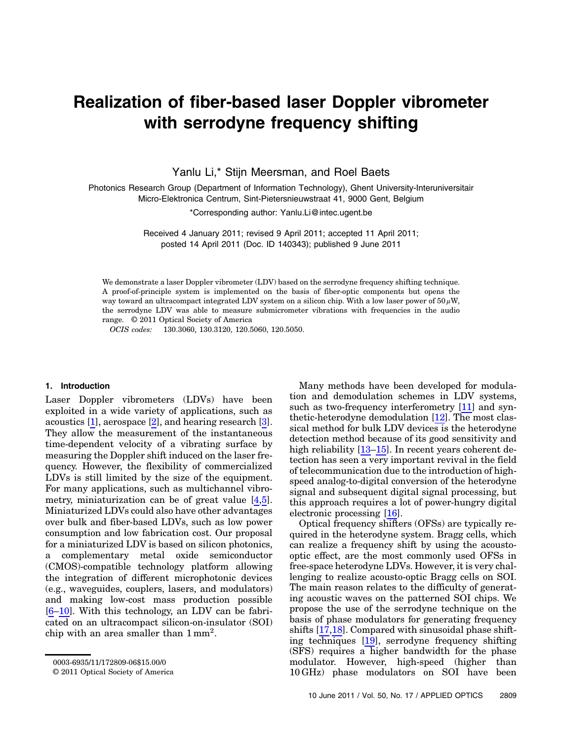# Realization of fiber-based laser Doppler vibrometer with serrodyne frequency shifting

Yanlu Li,\* Stijn Meersman, and Roel Baets

Photonics Research Group (Department of Information Technology), Ghent University-Interuniversitair Micro-Elektronica Centrum, Sint-Pietersnieuwstraat 41, 9000 Gent, Belgium

\*Corresponding author: Yanlu.Li@intec.ugent.be

Received 4 January 2011; revised 9 April 2011; accepted 11 April 2011; posted 14 April 2011 (Doc. ID 140343); published 9 June 2011

We demonstrate a laser Doppler vibrometer (LDV) based on the serrodyne frequency shifting technique. A proof-of-principle system is implemented on the basis of fiber-optic components but opens the way toward an ultracompact integrated LDV system on a silicon chip. With a low laser power of  $50 \mu W$ , the serrodyne LDV was able to measure submicrometer vibrations with frequencies in the audio range. © 2011 Optical Society of America

OCIS codes: 130.3060, 130.3120, 120.5060, 120.5050.

### 1. Introduction

Laser Doppler vibrometers (LDVs) have been exploited in a wide variety of applications, such as acoustics [1], aerospace [2], and hearing research [3]. They allow the measurement of the instantaneous time-dependent velocity of a vibrating surface by measuring the Doppler shift induced on the laser frequency. However, the flexibility of commercialized LDVs is still limited by the size of the equipment. For many applications, such as multichannel vibrometry, miniaturization can be of great value [4,5]. Miniaturized LDVs could also have other advantages over bulk and fiber-based LDVs, such as low power consumption and low fabrication cost. Our proposal for a miniaturized LDV is based on silicon photonics, a complementary metal oxide semiconductor (CMOS)-compatible technology platform allowing the integration of different microphotonic devices (e.g., waveguides, couplers, lasers, and modulators) and making low-cost mass production possible [6–10]. With this technology, an LDV can be fabricated on an ultracompact silicon-on-insulator (SOI) chip with an area smaller than  $1 \text{ mm}^2$ .

Many methods have been developed for modulation and demodulation schemes in LDV systems, such as two-frequency interferometry [11] and synthetic-heterodyne demodulation [12]. The most classical method for bulk LDV devices is the heterodyne detection method because of its good sensitivity and high reliability [13–15]. In recent years coherent detection has seen a very important revival in the field of telecommunication due to the introduction of highspeed analog-to-digital conversion of the heterodyne signal and subsequent digital signal processing, but this approach requires a lot of power-hungry digital electronic processing [16].

Optical frequency shifters (OFSs) are typically required in the heterodyne system. Bragg cells, which can realize a frequency shift by using the acoustooptic effect, are the most commonly used OFSs in free-space heterodyne LDVs. However, it is very challenging to realize acousto-optic Bragg cells on SOI. The main reason relates to the difficulty of generating acoustic waves on the patterned SOI chips. We propose the use of the serrodyne technique on the basis of phase modulators for generating frequency shifts [17,18]. Compared with sinusoidal phase shifting techniques [19], serrodyne frequency shifting (SFS) requires a higher bandwidth for the phase modulator. However, high-speed (higher than 10 GHz) phase modulators on SOI have been

<sup>0003-6935/11/172809-06\$15.00/0</sup>

<sup>© 2011</sup> Optical Society of America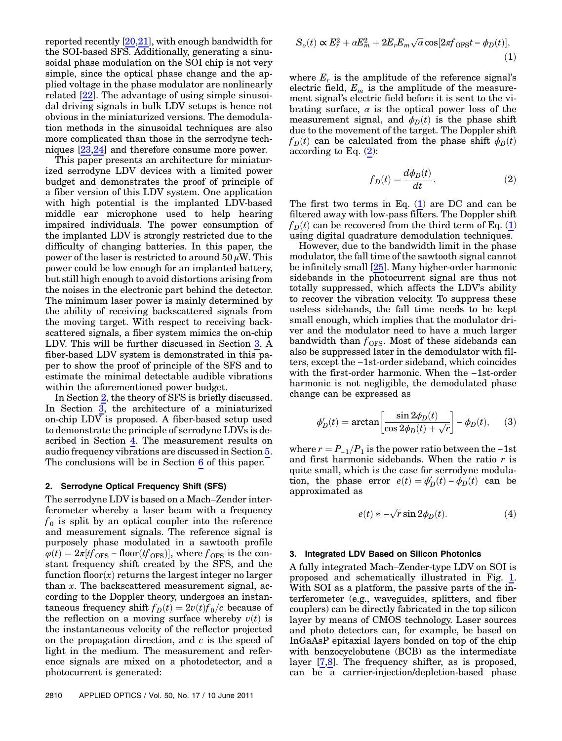reported recently [20,21], with enough bandwidth for the SOI-based SFS. Additionally, generating a sinusoidal phase modulation on the SOI chip is not very simple, since the optical phase change and the applied voltage in the phase modulator are nonlinearly related [22]. The advantage of using simple sinusoidal driving signals in bulk LDV setups is hence not obvious in the miniaturized versions. The demodulation methods in the sinusoidal techniques are also more complicated than those in the serrodyne techniques [23,24] and therefore consume more power.

This paper presents an architecture for miniaturized serrodyne LDV devices with a limited power budget and demonstrates the proof of principle of a fiber version of this LDV system. One application with high potential is the implanted LDV-based middle ear microphone used to help hearing impaired individuals. The power consumption of the implanted LDV is strongly restricted due to the difficulty of changing batteries. In this paper, the power of the laser is restricted to around  $50 \mu W$ . This power could be low enough for an implanted battery, but still high enough to avoid distortions arising from the noises in the electronic part behind the detector. The minimum laser power is mainly determined by the ability of receiving backscattered signals from the moving target. With respect to receiving backscattered signals, a fiber system mimics the on-chip LDV. This will be further discussed in Section [3](#page-1-0). A fiber-based LDV system is demonstrated in this paper to show the proof of principle of the SFS and to estimate the minimal detectable audible vibrations within the aforementioned power budget.

In Section [2](#page-1-1), the theory of SFS is briefly discussed. In Section [3,](#page-1-0) the architecture of a miniaturized on-chip LDV is proposed. A fiber-based setup used to demonstrate the principle of serrodyne LDVs is described in Section [4](#page-2-0). The measurement results on audio frequency vibrations are discussed in Section [5](#page-3-0). The conclusions will be in Section [6](#page-4-0) of this paper.

## <span id="page-1-1"></span>2. Serrodyne Optical Frequency Shift (SFS)

The serrodyne LDV is based on a Mach–Zender interferometer whereby a laser beam with a frequency  $f_0$  is split by an optical coupler into the reference and measurement signals. The reference signal is purposely phase modulated in a sawtooth profile  $\varphi(t) = 2\pi \left[ t f_{\text{OFS}} - \text{floor}(t f_{\text{OFS}}) \right]$ , where  $f_{\text{OFS}}$  is the constant frequency shift created by the SFS, and the function floor $(x)$  returns the largest integer no larger than x. The backscattered measurement signal, according to the Doppler theory, undergoes an instantaneous frequency shift  $f_D(t) = 2v(t)f_0/c$  because of the reflection on a moving surface whereby  $v(t)$  is the instantaneous velocity of the reflector projected on the propagation direction, and c is the speed of light in the medium. The measurement and reference signals are mixed on a photodetector, and a photocurrent is generated:

<span id="page-1-3"></span>
$$
S_o(t) \propto E_r^2 + \alpha E_m^2 + 2E_r E_m \sqrt{\alpha} \cos[2\pi f_{\text{OFS}} t - \phi_D(t)],
$$
\n(1)

where  $E_r$  is the amplitude of the reference signal's electric field,  $E_m$  is the amplitude of the measurement signal's electric field before it is sent to the vibrating surface,  $\alpha$  is the optical power loss of the measurement signal, and  $\phi_D(t)$  is the phase shift due to the movement of the target. The Doppler shift  $f_D(t)$  can be calculated from the phase shift  $\phi_D(t)$ according to Eq. ([2\)](#page-1-2):

$$
f_D(t) = \frac{d\phi_D(t)}{dt}.
$$
 (2)

<span id="page-1-2"></span>The first two terms in Eq.  $(1)$  are DC and can be filtered away with low-pass filters. The Doppler shift  $f_D(t)$  can be recovered from the third term of Eq. [\(1\)](#page-1-3) using digital quadrature demodulation techniques.

However, due to the bandwidth limit in the phase modulator, the fall time of the sawtooth signal cannot be infinitely small [25]. Many higher-order harmonic sidebands in the photocurrent signal are thus not totally suppressed, which affects the LDV's ability to recover the vibration velocity. To suppress these useless sidebands, the fall time needs to be kept small enough, which implies that the modulator driver and the modulator need to have a much larger bandwidth than  $f_{\text{OFS}}$ . Most of these sidebands can also be suppressed later in the demodulator with filters, except the −1st-order sideband, which coincides with the first-order harmonic. When the −1st-order harmonic is not negligible, the demodulated phase change can be expressed as

$$
\phi_D'(t)=\arctan\left[\frac{\sin 2\phi_D(t)}{\cos 2\phi_D(t)+\sqrt{r}}\right]-\phi_D(t),\quad \ \ (3)
$$

where  $r = P_{-1}/P_1$  is the power ratio between the -1st and first harmonic sidebands. When the ratio  $r$  is quite small, which is the case for serrodyne modulation, the phase error  $e(t) = \phi_D'(t) - \phi_D(t)$  can be approximated as

$$
e(t) \approx -\sqrt{r} \sin 2\phi_D(t). \tag{4}
$$

### <span id="page-1-4"></span><span id="page-1-0"></span>3. Integrated LDV Based on Silicon Photonics

A fully integrated Mach–Zender-type LDV on SOI is proposed and schematically illustrated in Fig. [1](#page-2-1). With SOI as a platform, the passive parts of the interferometer (e.g., waveguides, splitters, and fiber couplers) can be directly fabricated in the top silicon layer by means of CMOS technology. Laser sources and photo detectors can, for example, be based on InGaAsP epitaxial layers bonded on top of the chip with benzocyclobutene (BCB) as the intermediate layer [7,8]. The frequency shifter, as is proposed, can be a carrier-injection/depletion-based phase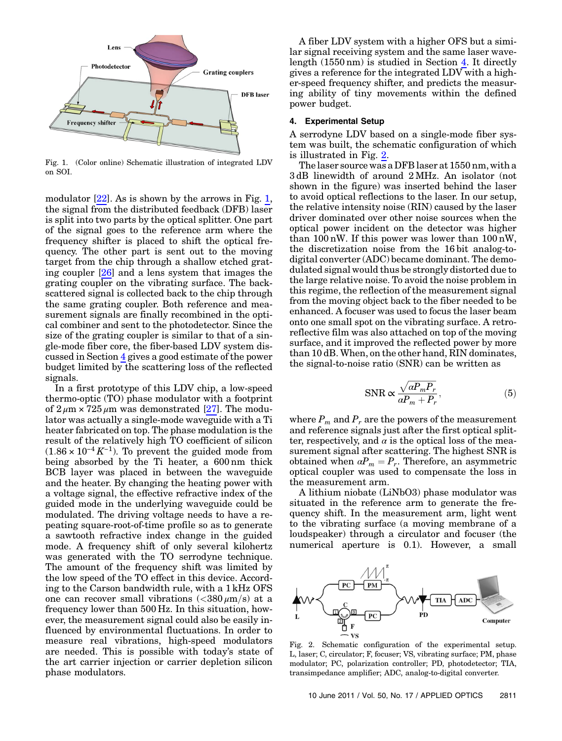<span id="page-2-1"></span>

Fig. 1. (Color online) Schematic illustration of integrated LDV on SOI.

modulator  $[22]$ . As is shown by the arrows in Fig. [1](#page-2-1), the signal from the distributed feedback (DFB) laser is split into two parts by the optical splitter. One part of the signal goes to the reference arm where the frequency shifter is placed to shift the optical frequency. The other part is sent out to the moving target from the chip through a shallow etched grating coupler [26] and a lens system that images the grating coupler on the vibrating surface. The backscattered signal is collected back to the chip through the same grating coupler. Both reference and measurement signals are finally recombined in the optical combiner and sent to the photodetector. Since the size of the grating coupler is similar to that of a single-mode fiber core, the fiber-based LDV system discussed in Section [4](#page-2-0) gives a good estimate of the power budget limited by the scattering loss of the reflected signals.

In a first prototype of this LDV chip, a low-speed thermo-optic (TO) phase modulator with a footprint of  $2 \mu m \times 725 \mu m$  was demonstrated [27]. The modulator was actually a single-mode waveguide with a Ti heater fabricated on top. The phase modulation is the result of the relatively high TO coefficient of silicon  $(1.86 \times 10^{-4} K^{-1})$ . To prevent the guided mode from being absorbed by the Ti heater, a 600 nm thick BCB layer was placed in between the waveguide and the heater. By changing the heating power with a voltage signal, the effective refractive index of the guided mode in the underlying waveguide could be modulated. The driving voltage needs to have a repeating square-root-of-time profile so as to generate a sawtooth refractive index change in the guided mode. A frequency shift of only several kilohertz was generated with the TO serrodyne technique. The amount of the frequency shift was limited by the low speed of the TO effect in this device. According to the Carson bandwidth rule, with a 1 kHz OFS one can recover small vibrations  $\langle \langle 380 \mu m/s \rangle$  at a frequency lower than 500 Hz. In this situation, however, the measurement signal could also be easily influenced by environmental fluctuations. In order to measure real vibrations, high-speed modulators are needed. This is possible with today's state of the art carrier injection or carrier depletion silicon phase modulators.

A fiber LDV system with a higher OFS but a similar signal receiving system and the same laser wavelength (1550 nm) is studied in Section [4](#page-2-0). It directly gives a reference for the integrated LDV with a higher-speed frequency shifter, and predicts the measuring ability of tiny movements within the defined power budget.

## <span id="page-2-0"></span>4. Experimental Setup

A serrodyne LDV based on a single-mode fiber system was built, the schematic configuration of which is illustrated in Fig. [2](#page-2-2).

The laser source was a DFB laser at 1550 nm, with a 3 dB linewidth of around 2 MHz. An isolator (not shown in the figure) was inserted behind the laser to avoid optical reflections to the laser. In our setup, the relative intensity noise (RIN) caused by the laser driver dominated over other noise sources when the optical power incident on the detector was higher than 100 nW. If this power was lower than 100 nW, the discretization noise from the 16 bit analog-todigital converter (ADC) became dominant. The demodulated signal would thus be strongly distorted due to the large relative noise. To avoid the noise problem in this regime, the reflection of the measurement signal from the moving object back to the fiber needed to be enhanced. A focuser was used to focus the laser beam onto one small spot on the vibrating surface. A retroreflective film was also attached on top of the moving surface, and it improved the reflected power by more than 10 dB. When, on the other hand, RIN dominates, the signal-to-noise ratio (SNR) can be written as

$$
\text{SNR} \propto \frac{\sqrt{\alpha P_m P_r}}{\alpha P_m + P_r},\tag{5}
$$

where  $P_m$  and  $P_r$  are the powers of the measurement and reference signals just after the first optical splitter, respectively, and  $\alpha$  is the optical loss of the measurement signal after scattering. The highest SNR is obtained when  $\alpha P_m = P_r$ . Therefore, an asymmetric optical coupler was used to compensate the loss in the measurement arm.

A lithium niobate (LiNbO3) phase modulator was situated in the reference arm to generate the frequency shift. In the measurement arm, light went to the vibrating surface (a moving membrane of a loudspeaker) through a circulator and focuser (the numerical aperture is 0.1). However, a small

<span id="page-2-2"></span>

Fig. 2. Schematic configuration of the experimental setup. L, laser; C, circulator; F, focuser; VS, vibrating surface; PM, phase modulator; PC, polarization controller; PD, photodetector; TIA, transimpedance amplifier; ADC, analog-to-digital converter.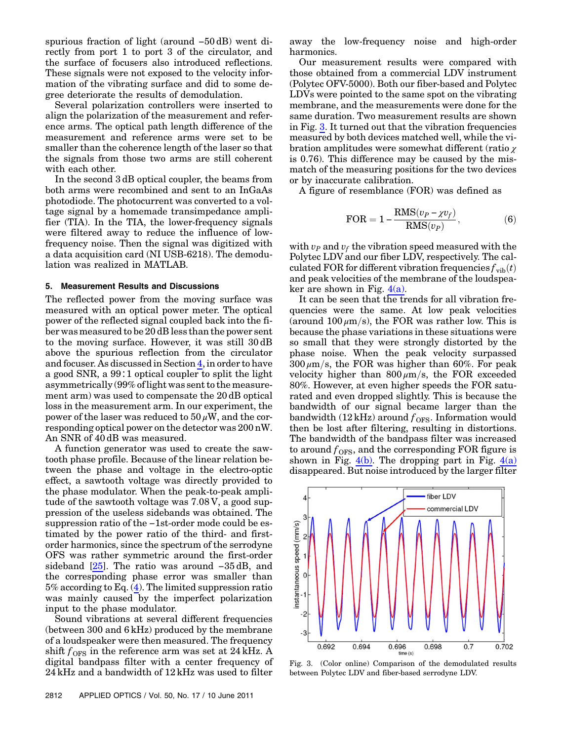spurious fraction of light (around −50 dB) went directly from port 1 to port 3 of the circulator, and the surface of focusers also introduced reflections. These signals were not exposed to the velocity information of the vibrating surface and did to some degree deteriorate the results of demodulation.

Several polarization controllers were inserted to align the polarization of the measurement and reference arms. The optical path length difference of the measurement and reference arms were set to be smaller than the coherence length of the laser so that the signals from those two arms are still coherent with each other.

In the second 3 dB optical coupler, the beams from both arms were recombined and sent to an InGaAs photodiode. The photocurrent was converted to a voltage signal by a homemade transimpedance amplifier (TIA). In the TIA, the lower-frequency signals were filtered away to reduce the influence of lowfrequency noise. Then the signal was digitized with a data acquisition card (NI USB-6218). The demodulation was realized in MATLAB.

## <span id="page-3-0"></span>5. Measurement Results and Discussions

The reflected power from the moving surface was measured with an optical power meter. The optical power of the reflected signal coupled back into the fiber was measured to be 20 dB less than the power sent to the moving surface. However, it was still 30 dB above the spurious reflection from the circulator and focuser. As discussed in Section [4](#page-2-0), in order to have a good SNR, a 99∶1 optical coupler to split the light asymmetrically (99% of light was sent to the measurement arm) was used to compensate the 20 dB optical loss in the measurement arm. In our experiment, the power of the laser was reduced to  $50 \mu W$ , and the corresponding optical power on the detector was 200 nW. An SNR of 40 dB was measured.

A function generator was used to create the sawtooth phase profile. Because of the linear relation between the phase and voltage in the electro-optic effect, a sawtooth voltage was directly provided to the phase modulator. When the peak-to-peak amplitude of the sawtooth voltage was 7:08 V, a good suppression of the useless sidebands was obtained. The suppression ratio of the −1st-order mode could be estimated by the power ratio of the third- and firstorder harmonics, since the spectrum of the serrodyne OFS was rather symmetric around the first-order sideband [25]. The ratio was around -35 dB, and the corresponding phase error was smaller than 5% according to Eq. [\(4\)](#page-1-4). The limited suppression ratio was mainly caused by the imperfect polarization input to the phase modulator.

Sound vibrations at several different frequencies (between 300 and 6 kHz) produced by the membrane of a loudspeaker were then measured. The frequency shift  $f_{\rm OFS}$  in the reference arm was set at 24 kHz. A digital bandpass filter with a center frequency of 24 kHz and a bandwidth of 12 kHz was used to filter

away the low-frequency noise and high-order harmonics.

Our measurement results were compared with those obtained from a commercial LDV instrument (Polytec OFV-5000). Both our fiber-based and Polytec LDVs were pointed to the same spot on the vibrating membrane, and the measurements were done for the same duration. Two measurement results are shown in Fig. [3](#page-3-1). It turned out that the vibration frequencies measured by both devices matched well, while the vibration amplitudes were somewhat different (ratio χ is 0.76). This difference may be caused by the mismatch of the measuring positions for the two devices or by inaccurate calibration.

A figure of resemblance (FOR) was defined as

$$
\text{FOR} = 1 - \frac{\text{RMS}(v_P - \chi v_f)}{\text{RMS}(v_P)},\tag{6}
$$

with  $v_P$  and  $v_f$  the vibration speed measured with the Polytec LDV and our fiber LDV, respectively. The calculated FOR for different vibration frequencies  $f_{\text{vib}}(t)$ and peak velocities of the membrane of the loudspeaker are shown in Fig.  $4(a)$ .

It can be seen that the trends for all vibration frequencies were the same. At low peak velocities (around  $100 \mu m/s$ ), the FOR was rather low. This is because the phase variations in these situations were so small that they were strongly distorted by the phase noise. When the peak velocity surpassed  $300 \mu m/s$ , the FOR was higher than 60%. For peak velocity higher than  $800 \mu m/s$ , the FOR exceeded 80%. However, at even higher speeds the FOR saturated and even dropped slightly. This is because the bandwidth of our signal became larger than the bandwidth (12 kHz) around  $f_{OFS}$ . Information would then be lost after filtering, resulting in distortions. The bandwidth of the bandpass filter was increased to around  $f_{\rm OFS}$ , and the corresponding FOR figure is shown in Fig.  $4(b)$ . The dropping part in Fig.  $4(a)$ disappeared. But noise introduced by the larger filter

<span id="page-3-1"></span>

Fig. 3. (Color online) Comparison of the demodulated results between Polytec LDV and fiber-based serrodyne LDV.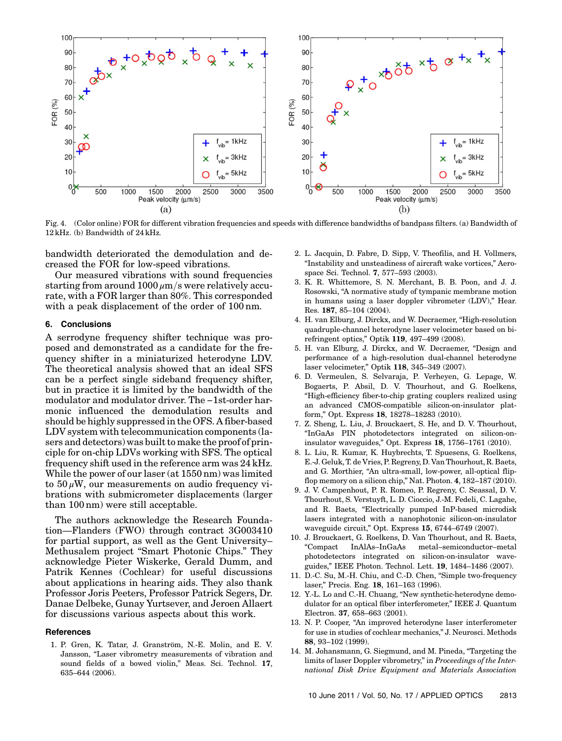

<span id="page-4-1"></span>Fig. 4. (Color online) FOR for different vibration frequencies and speeds with difference bandwidths of bandpass filters. (a) Bandwidth of 12 kHz. (b) Bandwidth of 24 kHz.

bandwidth deteriorated the demodulation and decreased the FOR for low-speed vibrations.

Our measured vibrations with sound frequencies starting from around  $1000 \mu m/s$  were relatively accurate, with a FOR larger than 80%. This corresponded with a peak displacement of the order of 100 nm.

## <span id="page-4-0"></span>6. Conclusions

A serrodyne frequency shifter technique was proposed and demonstrated as a candidate for the frequency shifter in a miniaturized heterodyne LDV. The theoretical analysis showed that an ideal SFS can be a perfect single sideband frequency shifter, but in practice it is limited by the bandwidth of the modulator and modulator driver. The −1st-order harmonic influenced the demodulation results and should be highly suppressed in the OFS. A fiber-based LDV system with telecommunication components (lasers and detectors) was built to make the proof of principle for on-chip LDVs working with SFS. The optical frequency shift used in the reference arm was 24 kHz. While the power of our laser (at 1550 nm) was limited to  $50 \mu$ W, our measurements on audio frequency vibrations with submicrometer displacements (larger than 100 nm) were still acceptable.

The authors acknowledge the Research Foundation—Flanders (FWO) through contract 3G003410 for partial support, as well as the Gent University– Methusalem project "Smart Photonic Chips." They acknowledge Pieter Wiskerke, Gerald Dumm, and Patrik Kennes (Cochlear) for useful discussions about applications in hearing aids. They also thank Professor Joris Peeters, Professor Patrick Segers, Dr. Danae Delbeke, Gunay Yurtsever, and Jeroen Allaert for discussions various aspects about this work.

#### References

1. P. Gren, K. Tatar, J. Granström, N.-E. Molin, and E. V. Jansson, "Laser vibrometry measurements of vibration and sound fields of a bowed violin," Meas. Sci. Technol. 17, 635–644 (2006).

- 2. L. Jacquin, D. Fabre, D. Sipp, V. Theofilis, and H. Vollmers, "Instability and unsteadiness of aircraft wake vortices," Aerospace Sci. Technol. 7, 577–593 (2003).
- 3. K. R. Whittemore, S. N. Merchant, B. B. Poon, and J. J. Rosowski, "A normative study of tympanic membrane motion in humans using a laser doppler vibrometer (LDV)," Hear. Res. 187, 85–104 (2004).
- 4. H. van Elburg, J. Dirckx, and W. Decraemer, "High-resolution quadruple-channel heterodyne laser velocimeter based on birefringent optics," Optik 119, 497–499 (2008).
- 5. H. van Elburg, J. Dirckx, and W. Decraemer, "Design and performance of a high-resolution dual-channel heterodyne laser velocimeter," Optik 118, 345–349 (2007).
- 6. D. Vermeulen, S. Selvaraja, P. Verheyen, G. Lepage, W. Bogaerts, P. Absil, D. V. Thourhout, and G. Roelkens, "High-efficiency fiber-to-chip grating couplers realized using an advanced CMOS-compatible silicon-on-insulator platform," Opt. Express 18, 18278–18283 (2010).
- 7. Z. Sheng, L. Liu, J. Brouckaert, S. He, and D. V. Thourhout, "InGaAs PIN photodetectors integrated on silicon-oninsulator waveguides," Opt. Express 18, 1756–1761 (2010).
- 8. L. Liu, R. Kumar, K. Huybrechts, T. Spuesens, G. Roelkens, E.-J. Geluk, T. de Vries, P. Regreny, D. Van Thourhout, R. Baets, and G. Morthier, "An ultra-small, low-power, all-optical flipflop memory on a silicon chip," Nat. Photon. 4, 182–187 (2010).
- 9. J. V. Campenhout, P. R. Romeo, P. Regreny, C. Seassal, D. V. Thourhout, S. Verstuyft, L. D. Cioccio, J.-M. Fedeli, C. Lagahe, and R. Baets, "Electrically pumped InP-based microdisk lasers integrated with a nanophotonic silicon-on-insulator waveguide circuit," Opt. Express 15, 6744–6749 (2007).
- 10. J. Brouckaert, G. Roelkens, D. Van Thourhout, and R. Baets, "Compact InAlAs–InGaAs metal–semiconductor–metal photodetectors integrated on silicon-on-insulator waveguides," IEEE Photon. Technol. Lett. 19, 1484–1486 (2007).
- 11. D.-C. Su, M.-H. Chiu, and C.-D. Chen, "Simple two-frequency laser," Precis. Eng. 18, 161–163 (1996).
- 12. Y.-L. Lo and C.-H. Chuang, "New synthetic-heterodyne demodulator for an optical fiber interferometer," IEEE J. Quantum Electron. 37, 658–663 (2001).
- 13. N. P. Cooper, "An improved heterodyne laser interferometer for use in studies of cochlear mechanics," J. Neurosci. Methods 88, 93–102 (1999).
- 14. M. Johansmann, G. Siegmund, and M. Pineda, "Targeting the limits of laser Doppler vibrometry," in Proceedings of the International Disk Drive Equipment and Materials Association